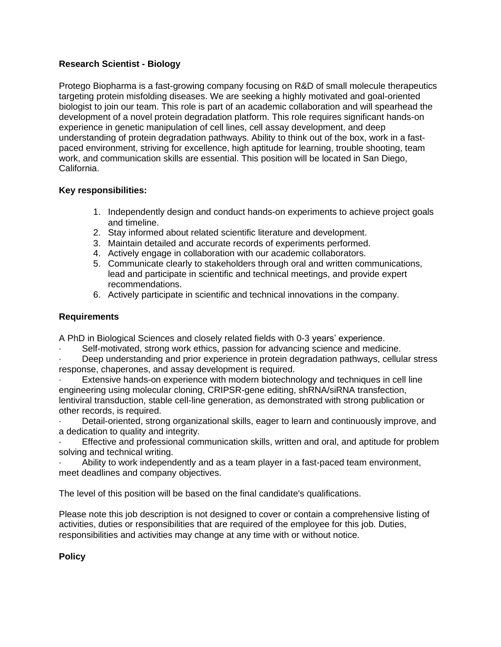## **Research Scientist - Biology**

Protego Biopharma is a fast-growing company focusing on R&D of small molecule therapeutics targeting protein misfolding diseases. We are seeking a highly motivated and goal-oriented biologist to join our team. This role is part of an academic collaboration and will spearhead the development of a novel protein degradation platform. This role requires significant hands-on experience in genetic manipulation of cell lines, cell assay development, and deep understanding of protein degradation pathways. Ability to think out of the box, work in a fastpaced environment, striving for excellence, high aptitude for learning, trouble shooting, team work, and communication skills are essential. This position will be located in San Diego, California.

## **Key responsibilities:**

- 1. Independently design and conduct hands-on experiments to achieve project goals and timeline.
- 2. Stay informed about related scientific literature and development.
- 3. Maintain detailed and accurate records of experiments performed.
- 4. Actively engage in collaboration with our academic collaborators.
- 5. Communicate clearly to stakeholders through oral and written communications, lead and participate in scientific and technical meetings, and provide expert recommendations.
- 6. Actively participate in scientific and technical innovations in the company.

## **Requirements**

A PhD in Biological Sciences and closely related fields with 0-3 years' experience.

Self-motivated, strong work ethics, passion for advancing science and medicine.

· Deep understanding and prior experience in protein degradation pathways, cellular stress response, chaperones, and assay development is required.

Extensive hands-on experience with modern biotechnology and techniques in cell line engineering using molecular cloning, CRIPSR-gene editing, shRNA/siRNA transfection, lentiviral transduction, stable cell-line generation, as demonstrated with strong publication or other records, is required.

· Detail-oriented, strong organizational skills, eager to learn and continuously improve, and a dedication to quality and integrity.

Effective and professional communication skills, written and oral, and aptitude for problem solving and technical writing.

Ability to work independently and as a team player in a fast-paced team environment, meet deadlines and company objectives.

The level of this position will be based on the final candidate's qualifications.

Please note this job description is not designed to cover or contain a comprehensive listing of activities, duties or responsibilities that are required of the employee for this job. Duties, responsibilities and activities may change at any time with or without notice.

# **Policy**